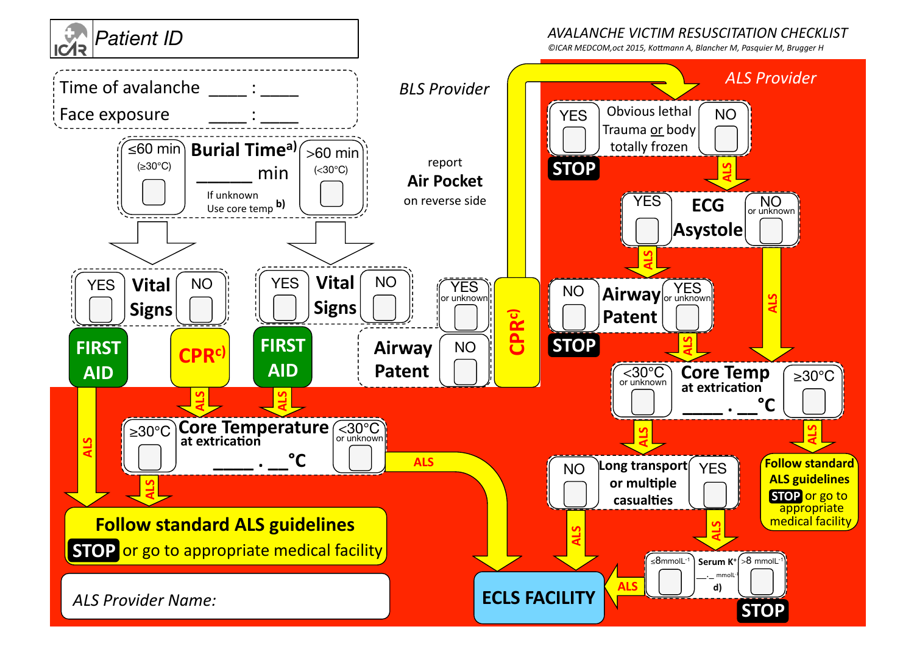